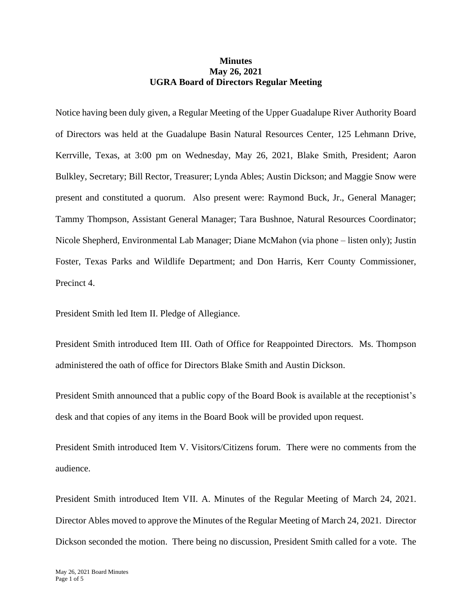## **Minutes May 26, 2021 UGRA Board of Directors Regular Meeting**

Notice having been duly given, a Regular Meeting of the Upper Guadalupe River Authority Board of Directors was held at the Guadalupe Basin Natural Resources Center, 125 Lehmann Drive, Kerrville, Texas, at 3:00 pm on Wednesday, May 26, 2021, Blake Smith, President; Aaron Bulkley, Secretary; Bill Rector, Treasurer; Lynda Ables; Austin Dickson; and Maggie Snow were present and constituted a quorum. Also present were: Raymond Buck, Jr., General Manager; Tammy Thompson, Assistant General Manager; Tara Bushnoe, Natural Resources Coordinator; Nicole Shepherd, Environmental Lab Manager; Diane McMahon (via phone – listen only); Justin Foster, Texas Parks and Wildlife Department; and Don Harris, Kerr County Commissioner, Precinct 4.

President Smith led Item II. Pledge of Allegiance.

President Smith introduced Item III. Oath of Office for Reappointed Directors. Ms. Thompson administered the oath of office for Directors Blake Smith and Austin Dickson.

President Smith announced that a public copy of the Board Book is available at the receptionist's desk and that copies of any items in the Board Book will be provided upon request.

President Smith introduced Item V. Visitors/Citizens forum. There were no comments from the audience.

President Smith introduced Item VII. A. Minutes of the Regular Meeting of March 24, 2021. Director Ables moved to approve the Minutes of the Regular Meeting of March 24, 2021. Director Dickson seconded the motion. There being no discussion, President Smith called for a vote. The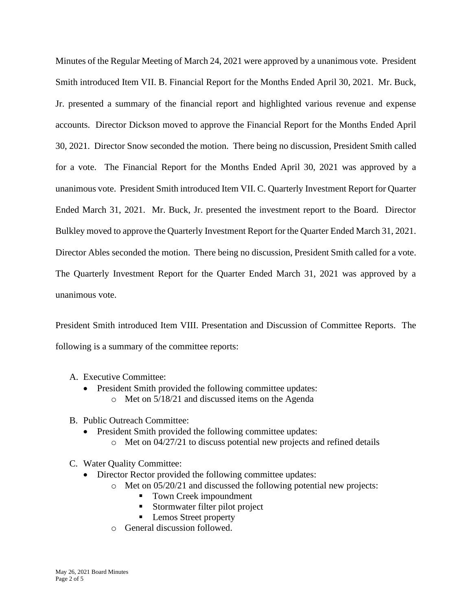Minutes of the Regular Meeting of March 24, 2021 were approved by a unanimous vote. President Smith introduced Item VII. B. Financial Report for the Months Ended April 30, 2021. Mr. Buck, Jr. presented a summary of the financial report and highlighted various revenue and expense accounts. Director Dickson moved to approve the Financial Report for the Months Ended April 30, 2021. Director Snow seconded the motion. There being no discussion, President Smith called for a vote. The Financial Report for the Months Ended April 30, 2021 was approved by a unanimous vote. President Smith introduced Item VII. C. Quarterly Investment Report for Quarter Ended March 31, 2021. Mr. Buck, Jr. presented the investment report to the Board. Director Bulkley moved to approve the Quarterly Investment Report for the Quarter Ended March 31, 2021. Director Ables seconded the motion. There being no discussion, President Smith called for a vote. The Quarterly Investment Report for the Quarter Ended March 31, 2021 was approved by a unanimous vote.

President Smith introduced Item VIII. Presentation and Discussion of Committee Reports. The following is a summary of the committee reports:

- A. Executive Committee:
	- President Smith provided the following committee updates:
		- o Met on 5/18/21 and discussed items on the Agenda
- B. Public Outreach Committee:
	- President Smith provided the following committee updates:
		- o Met on 04/27/21 to discuss potential new projects and refined details
- C. Water Quality Committee:
	- Director Rector provided the following committee updates:
		- o Met on 05/20/21 and discussed the following potential new projects:
			- Town Creek impoundment
			- Stormwater filter pilot project
			- Lemos Street property
		- o General discussion followed.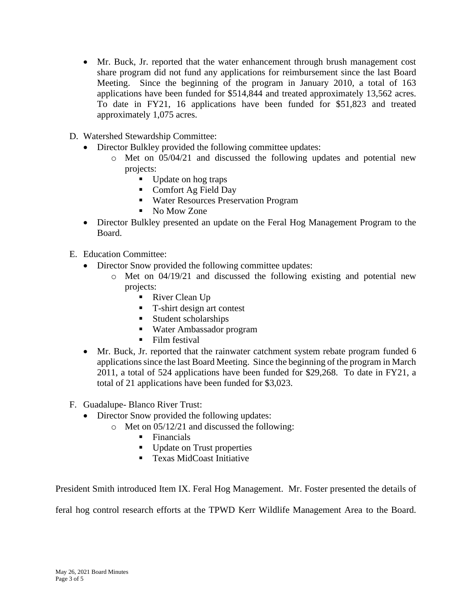- Mr. Buck, Jr. reported that the water enhancement through brush management cost share program did not fund any applications for reimbursement since the last Board Meeting. Since the beginning of the program in January 2010, a total of 163 applications have been funded for \$514,844 and treated approximately 13,562 acres. To date in FY21, 16 applications have been funded for \$51,823 and treated approximately 1,075 acres.
- D. Watershed Stewardship Committee:
	- Director Bulkley provided the following committee updates:
		- o Met on 05/04/21 and discussed the following updates and potential new projects:
			- Update on hog traps
			- Comfort Ag Field Day
			- Water Resources Preservation Program
			- No Mow Zone
	- Director Bulkley presented an update on the Feral Hog Management Program to the Board.
- E. Education Committee:
	- Director Snow provided the following committee updates:
		- o Met on 04/19/21 and discussed the following existing and potential new projects:
			- River Clean Up
			- T-shirt design art contest
			- Student scholarships
			- Water Ambassador program
			- Film festival
	- Mr. Buck, Jr. reported that the rainwater catchment system rebate program funded 6 applications since the last Board Meeting. Since the beginning of the program in March 2011, a total of 524 applications have been funded for \$29,268. To date in FY21, a total of 21 applications have been funded for \$3,023.
- F. Guadalupe- Blanco River Trust:
	- Director Snow provided the following updates:
		- o Met on 05/12/21 and discussed the following:
			- Financials
			- Update on Trust properties
			- Texas MidCoast Initiative

President Smith introduced Item IX. Feral Hog Management. Mr. Foster presented the details of

feral hog control research efforts at the TPWD Kerr Wildlife Management Area to the Board.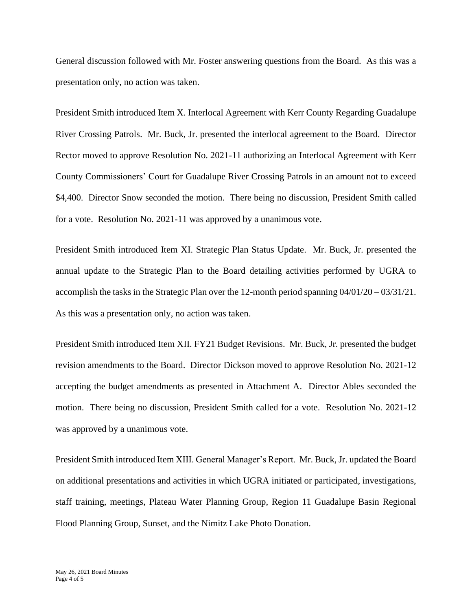General discussion followed with Mr. Foster answering questions from the Board. As this was a presentation only, no action was taken.

President Smith introduced Item X. Interlocal Agreement with Kerr County Regarding Guadalupe River Crossing Patrols. Mr. Buck, Jr. presented the interlocal agreement to the Board. Director Rector moved to approve Resolution No. 2021-11 authorizing an Interlocal Agreement with Kerr County Commissioners' Court for Guadalupe River Crossing Patrols in an amount not to exceed \$4,400. Director Snow seconded the motion. There being no discussion, President Smith called for a vote. Resolution No. 2021-11 was approved by a unanimous vote.

President Smith introduced Item XI. Strategic Plan Status Update. Mr. Buck, Jr. presented the annual update to the Strategic Plan to the Board detailing activities performed by UGRA to accomplish the tasks in the Strategic Plan over the 12-month period spanning 04/01/20 – 03/31/21. As this was a presentation only, no action was taken.

President Smith introduced Item XII. FY21 Budget Revisions. Mr. Buck, Jr. presented the budget revision amendments to the Board. Director Dickson moved to approve Resolution No. 2021-12 accepting the budget amendments as presented in Attachment A. Director Ables seconded the motion. There being no discussion, President Smith called for a vote. Resolution No. 2021-12 was approved by a unanimous vote.

President Smith introduced Item XIII. General Manager's Report. Mr. Buck, Jr. updated the Board on additional presentations and activities in which UGRA initiated or participated, investigations, staff training, meetings, Plateau Water Planning Group, Region 11 Guadalupe Basin Regional Flood Planning Group, Sunset, and the Nimitz Lake Photo Donation.